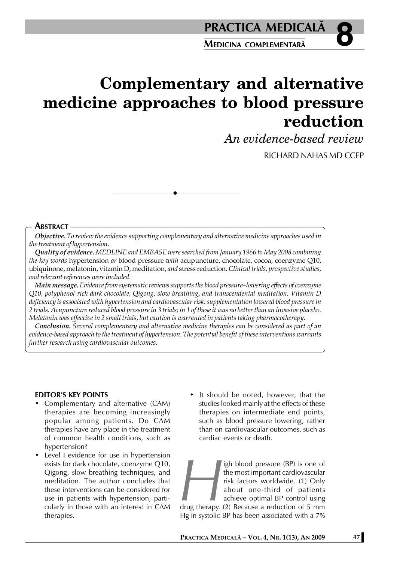# **Complementary and alternative medicine approaches to blood pressure reduction**

*An evidence-based review*

RICHARD NAHAS MD CCFP

### **ABSTRACT**

*Objective. To review the evidence supporting complementary and alternative medicine approaches used in the treatment of hypertension.*

*Quality of evidence. MEDLINE and EMBASE were searched from January 1966 to May 2008 combining the key words* hypertension *or* blood pressure *with* acupuncture, chocolate, cocoa, coenzyme Q10, ubiquinone, melatonin, vitamin D, meditation, *and* stress reduction. *Clinical trials, prospective studies, and relevant references were included.*

*Main message. Evidence from systematic reviews supports the blood pressure–lowering effects of coenzyme Q10, polyphenol-rich dark chocolate, Qigong, slow breathing, and transcendental meditation. Vitamin D deficiency is associated with hypertension and cardiovascular risk; supplementation lowered blood pressure in 2 trials. Acupuncture reduced blood pressure in 3 trials; in 1 of these it was no better than an invasive placebo. Melatonin was effective in 2 small trials, but caution is warranted in patients taking pharmacotherapy.*

*Conclusion. Several complementary and alternative medicine therapies can be considered as part of an evidence-based approach to the treatment of hypertension. The potential benefit of these interventions warrants further research using cardiovascular outcomes.*

#### **EDITOR'S KEY POINTS**

- Complementary and alternative (CAM) therapies are becoming increasingly popular among patients. Do CAM therapies have any place in the treatment of common health conditions, such as hypertension?
- Level I evidence for use in hypertension exists for dark chocolate, coenzyme Q10, Qigong, slow breathing techniques, and meditation. The author concludes that these interventions can be considered for use in patients with hypertension, particularly in those with an interest in CAM therapies.
- It should be noted, however, that the studies looked mainly at the effects of these therapies on intermediate end points, such as blood pressure lowering, rather than on cardiovascular outcomes, such as cardiac events or death.

**High blood pressure (BP) is one of<br>the most important cardiovascular<br>risk factors worldwide. (1) Only<br>about one-third of patients<br>achieve optimal BP control using<br>drug therapy. (2) Because a reduction of 5 mm<br>Hg in systol** the most important cardiovascular risk factors worldwide. (1) Only about one-third of patients achieve optimal BP control using drug therapy. (2) Because a reduction of 5 mm Hg in systolic BP has been associated with a 7%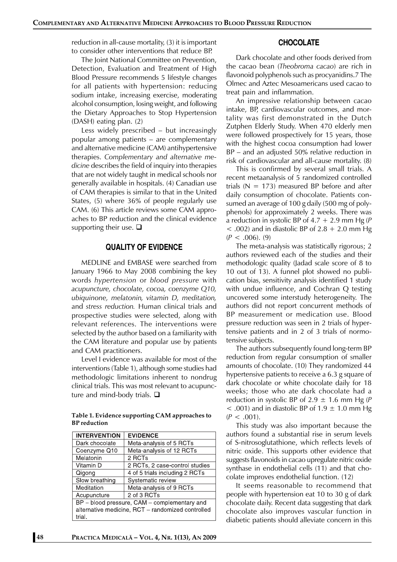reduction in all-cause mortality, (3) it is important to consider other interventions that reduce BP.

The Joint National Committee on Prevention, Detection, Evaluation and Treatment of High Blood Pressure recommends 5 lifestyle changes for all patients with hypertension: reducing sodium intake, increasing exercise, moderating alcohol consumption, losing weight, and following the Dietary Approaches to Stop Hypertension (DASH) eating plan. (2)

Less widely prescribed – but increasingly popular among patients – are complementary and alternative medicine (CAM) antihypertensive therapies. *Complementary and alternative medicine* describes the field of inquiry into therapies that are not widely taught in medical schools nor generally available in hospitals. (4) Canadian use of CAM therapies is similar to that in the United States, (5) where 36% of people regularly use CAM. (6) This article reviews some CAM approaches to BP reduction and the clinical evidence supporting their use.  $\Box$ 

#### **QUALITY OF EVIDENCE**

MEDLINE and EMBASE were searched from January 1966 to May 2008 combining the key words *hypertension* or *blood pressure* with *acupuncture, chocolate, cocoa, coenzyme Q10, ubiquinone, melatonin, vitamin D, meditation,* and *stress reduction.* Human clinical trials and prospective studies were selected, along with relevant references. The interventions were selected by the author based on a familiarity with the CAM literature and popular use by patients and CAM practitioners.

Level I evidence was available for most of the interventions (Table 1), although some studies had methodologic limitations inherent to nondrug clinical trials. This was most relevant to acupuncture and mind-body trials.  $\square$ 

**Table 1. Evidence supporting CAM approaches to BP reduction**

| <b>INTERVENTION</b>                               | <b>EVIDENCE</b>                |
|---------------------------------------------------|--------------------------------|
| Dark chocolate                                    | Meta-analysis of 5 RCTs        |
| Coenzyme Q10                                      | Meta-analysis of 12 RCTs       |
| Melatonin                                         | 2 RCTs                         |
| Vitamin D                                         | 2 RCTs, 2 case-control studies |
| Qigong                                            | 4 of 5 trials including 2 RCTs |
| Slow breathing                                    | Systematic review              |
| Meditation                                        | Meta-analysis of 9 RCTs        |
| Acupuncture                                       | 2 of 3 RCTs                    |
| BP - blood pressure, CAM - complementary and      |                                |
| alternative medicine, RCT - randomized controlled |                                |
| trial.                                            |                                |

#### **CHOCOLATE**

Dark chocolate and other foods derived from the cacao bean (*Theobroma cacao*) are rich in flavonoid polyphenols such as procyanidins.7 The Olmec and Aztec Mesoamericans used cacao to treat pain and inflammation.

An impressive relationship between cacao intake, BP, cardiovascular outcomes, and mortality was first demonstrated in the Dutch Zutphen Elderly Study. When 470 elderly men were followed prospectively for 15 years, those with the highest cocoa consumption had lower BP – and an adjusted 50% relative reduction in risk of cardiovascular and all-cause mortality. (8)

This is confirmed by several small trials. A recent metaanalysis of 5 randomized controlled trials ( $N = 173$ ) measured BP before and after daily consumption of chocolate. Patients consumed an average of 100 g daily (500 mg of polyphenols) for approximately 2 weeks. There was a reduction in systolic BP of 4.7 + 2.9 mm Hg (*P*  $<$  .002) and in diastolic BP of 2.8 + 2.0 mm Hg  $(P < .006)$ , (9)

The meta-analysis was statistically rigorous; 2 authors reviewed each of the studies and their methodologic quality (Jadad scale score of 8 to 10 out of 13). A funnel plot showed no publication bias, sensitivity analysis identified 1 study with undue influence, and Cochran Q testing uncovered some interstudy heterogeneity. The authors did not report concurrent methods of BP measurement or medication use. Blood pressure reduction was seen in 2 trials of hypertensive patients and in 2 of 3 trials of normotensive subjects.

The authors subsequently found long-term BP reduction from regular consumption of smaller amounts of chocolate. (10) They randomized 44 hypertensive patients to receive a 6.3 g square of dark chocolate or white chocolate daily for 18 weeks; those who ate dark chocolate had a reduction in systolic BP of  $2.9 \pm 1.6$  mm Hg (P)  $<$  .001) and in diastolic BP of 1.9  $\pm$  1.0 mm Hg  $(P < .001)$ .

This study was also important because the authors found a substantial rise in serum levels of S-nitrosoglutathione, which reflects levels of nitric oxide. This supports other evidence that suggests flavonoids in cacao upregulate nitric oxide synthase in endothelial cells (11) and that chocolate improves endothelial function. (12)

It seems reasonable to recommend that people with hypertension eat 10 to 30 g of dark chocolate daily. Recent data suggesting that dark chocolate also improves vascular function in diabetic patients should alleviate concern in this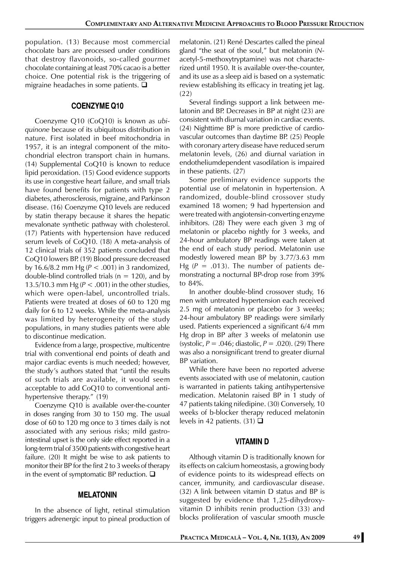population. (13) Because most commercial chocolate bars are processed under conditions that destroy flavonoids, so-called *gourmet* chocolate containing at least 70% cacao is a better choice. One potential risk is the triggering of migraine headaches in some patients.  $\square$ 

#### **COENZYME Q10**

Coenzyme Q10 (CoQ10) is known as *ubiquinone* because of its ubiquitous distribution in nature. First isolated in beef mitochondria in 1957, it is an integral component of the mitochondrial electron transport chain in humans. (14) Supplemental CoQ10 is known to reduce lipid peroxidation. (15) Good evidence supports its use in congestive heart failure, and small trials have found benefits for patients with type 2 diabetes, atherosclerosis, migraine, and Parkinson disease. (16) Coenzyme Q10 levels are reduced by statin therapy because it shares the hepatic mevalonate synthetic pathway with cholesterol. (17) Patients with hypertension have reduced serum levels of CoQ10. (18) A meta-analysis of 12 clinical trials of 352 patients concluded that CoQ10 lowers BP. (19) Blood pressure decreased by 16.6/8.2 mm Hg (*P* < .001) in 3 randomized, double-blind controlled trials ( $n = 120$ ), and by 13.5/10.3 mm Hg (*P* < .001) in the other studies, which were open-label, uncontrolled trials. Patients were treated at doses of 60 to 120 mg daily for 6 to 12 weeks. While the meta-analysis was limited by heterogeneity of the study populations, in many studies patients were able to discontinue medication.

Evidence from a large, prospective, multicentre trial with conventional end points of death and major cardiac events is much needed; however, the study's authors stated that "until the results of such trials are available, it would seem acceptable to add CoQ10 to conventional antihypertensive therapy." (19)

Coenzyme Q10 is available over-the-counter in doses ranging from 30 to 150 mg. The usual dose of 60 to 120 mg once to 3 times daily is not associated with any serious risks; mild gastrointestinal upset is the only side effect reported in a long-term trial of 3500 patients with congestive heart failure. (20) It might be wise to ask patients to monitor their BP for the first 2 to 3 weeks of therapy in the event of symptomatic BP reduction.  $\square$ 

#### **MELATONIN**

In the absence of light, retinal stimulation triggers adrenergic input to pineal production of melatonin. (21) René Descartes called the pineal gland "the seat of the soul," but melatonin (*N*acetyl-5-methoxytryptamine) was not characterized until 1950. It is available over-the-counter, and its use as a sleep aid is based on a systematic review establishing its efficacy in treating jet lag. (22)

Several findings support a link between melatonin and BP. Decreases in BP at night (23) are consistent with diurnal variation in cardiac events. (24) Nighttime BP is more predictive of cardiovascular outcomes than daytime BP. (25) People with coronary artery disease have reduced serum melatonin levels, (26) and diurnal variation in endotheliumdependent vasodilation is impaired in these patients. (27)

Some preliminary evidence supports the potential use of melatonin in hypertension. A randomized, double-blind crossover study examined 18 women; 9 had hypertension and were treated with angiotensin-converting enzyme inhibitors. (28) They were each given 3 mg of melatonin or placebo nightly for 3 weeks, and 24-hour ambulatory BP readings were taken at the end of each study period. Melatonin use modestly lowered mean BP by 3.77/3.63 mm Hg  $(P = .013)$ . The number of patients demonstrating a nocturnal BP-drop rose from 39% to 84%.

In another double-blind crossover study, 16 men with untreated hypertension each received 2.5 mg of melatonin or placebo for 3 weeks; 24-hour ambulatory BP readings were similarly used. Patients experienced a significant 6/4 mm Hg drop in BP after 3 weeks of melatonin use (systolic, *P* = .046; diastolic, *P* = .020). (29) There was also a nonsignificant trend to greater diurnal BP variation.

While there have been no reported adverse events associated with use of melatonin, caution is warranted in patients taking antihypertensive medication. Melatonin raised BP in 1 study of 47 patients taking nifedipine. (30) Conversely, 10 weeks of b-blocker therapy reduced melatonin levels in 42 patients. (31)  $\Box$ 

#### **VITAMIN D**

Although vitamin D is traditionally known for its effects on calcium homeostasis, a growing body of evidence points to its widespread effects on cancer, immunity, and cardiovascular disease. (32) A link between vitamin D status and BP is suggested by evidence that 1,25-dihydroxyvitamin D inhibits renin production (33) and blocks proliferation of vascular smooth muscle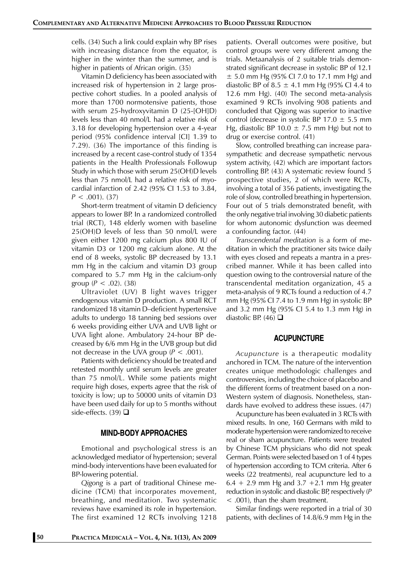cells. (34) Such a link could explain why BP rises with increasing distance from the equator, is higher in the winter than the summer, and is higher in patients of African origin. (35)

Vitamin D deficiency has been associated with increased risk of hypertension in 2 large prospective cohort studies. In a pooled analysis of more than 1700 normotensive patients, those with serum 25-hydroxyvitamin D (25-[OH]D) levels less than 40 nmol/L had a relative risk of 3.18 for developing hypertension over a 4-year period (95% confidence interval [CI] 1.39 to 7.29). (36) The importance of this finding is increased by a recent case-control study of 1354 patients in the Health Professionals Followup Study in which those with serum 25(OH)D levels less than 75 nmol/L had a relative risk of myocardial infarction of 2.42 (95% CI 1.53 to 3.84,  $P < .001$ ). (37)

Short-term treatment of vitamin D deficiency appears to lower BP. In a randomized controlled trial (RCT), 148 elderly women with baseline 25(OH)D levels of less than 50 nmol/L were given either 1200 mg calcium plus 800 IU of vitamin D3 or 1200 mg calcium alone. At the end of 8 weeks, systolic BP decreased by 13.1 mm Hg in the calcium and vitamin D3 group compared to 5.7 mm Hg in the calcium-only group ( $P < .02$ ). (38)

Ultraviolet (UV) B light waves trigger endogenous vitamin D production. A small RCT randomized 18 vitamin D–deficient hypertensive adults to undergo 18 tanning bed sessions over 6 weeks providing either UVA and UVB light or UVA light alone. Ambulatory 24-hour BP decreased by 6/6 mm Hg in the UVB group but did not decrease in the UVA group (*P* < .001).

Patients with deficiency should be treated and retested monthly until serum levels are greater than 75 nmol/L. While some patients might require high doses, experts agree that the risk of toxicity is low; up to 50000 units of vitamin D3 have been used daily for up to 5 months without side-effects. (39)  $\Box$ 

#### **MIND-BODY APPROACHES**

Emotional and psychological stress is an acknowledged mediator of hypertension; several mind-body interventions have been evaluated for BP-lowering potential.

*Qigong* is a part of traditional Chinese medicine (TCM) that incorporates movement, breathing, and meditation. Two systematic reviews have examined its role in hypertension. The first examined 12 RCTs involving 1218 patients. Overall outcomes were positive, but control groups were very different among the trials. Metaanalysis of 2 suitable trials demonstrated significant decrease in systolic BP of 12.1  $\pm$  5.0 mm Hg (95% CI 7.0 to 17.1 mm Hg) and diastolic BP of 8.5  $\pm$  4.1 mm Hg (95% CI 4.4 to 12.6 mm Hg). (40) The second meta-analysis examined 9 RCTs involving 908 patients and concluded that Qigong was superior to inactive control (decrease in systolic BP 17.0  $\pm$  5.5 mm Hg, diastolic BP 10.0  $\pm$  7.5 mm Hg) but not to drug or exercise control. (41)

Slow, controlled breathing can increase parasympathetic and decrease sympathetic nervous system activity, (42) which are important factors controlling BP. (43) A systematic review found 5 prospective studies, 2 of which were RCTs, involving a total of 356 patients, investigating the role of slow, controlled breathing in hypertension. Four out of 5 trials demonstrated benefit, with the only negative trial involving 30 diabetic patients for whom autonomic dysfunction was deemed a confounding factor. (44)

*Transcendental meditation* is a form of meditation in which the practitioner sits twice daily with eyes closed and repeats a mantra in a prescribed manner. While it has been called into question owing to the controversial nature of the transcendental meditation organization, 45 a meta-analysis of 9 RCTs found a reduction of 4.7 mm Hg (95% CI 7.4 to 1.9 mm Hg) in systolic BP and 3.2 mm Hg (95% CI 5.4 to 1.3 mm Hg) in diastolic BP. (46)  $\Box$ 

#### **ACUPUNCTURE**

*Acupuncture* is a therapeutic modality anchored in TCM. The nature of the intervention creates unique methodologic challenges and controversies, including the choice of placebo and the different forms of treatment based on a non-Western system of diagnosis. Nonetheless, standards have evolved to address these issues. (47)

Acupuncture has been evaluated in 3 RCTs with mixed results. In one, 160 Germans with mild to moderate hypertension were randomized to receive real or sham acupuncture. Patients were treated by Chinese TCM physicians who did not speak German. Points were selected based on 1 of 4 types of hypertension according to TCM criteria. After 6 weeks (22 treatments), real acupuncture led to a  $6.4 + 2.9$  mm Hg and  $3.7 + 2.1$  mm Hg greater reduction in systolic and diastolic BP, respectively (*P* < .001), than the sham treatment.

Similar findings were reported in a trial of 30 patients, with declines of 14.8/6.9 mm Hg in the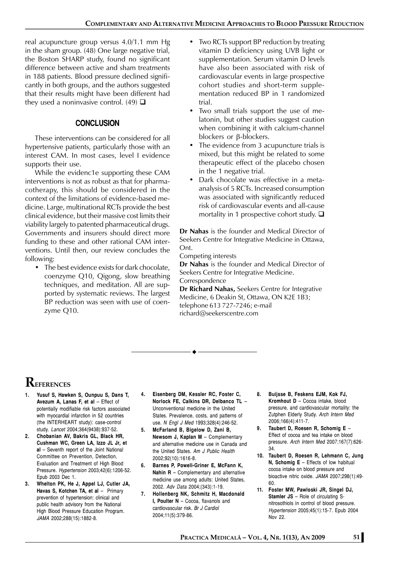real acupuncture group versus 4.0/1.1 mm Hg in the sham group. (48) One large negative trial, the Boston SHARP study, found no significant difference between active and sham treatments in 188 patients. Blood pressure declined significantly in both groups, and the authors suggested that their results might have been different had they used a noninvasive control. (49)  $\Box$ 

## **CONCLUSION**

These interventions can be considered for all hypertensive patients, particularly those with an interest CAM. In most cases, level I evidence supports their use.

While the evidenc1e supporting these CAM interventions is not as robust as that for pharmacotherapy, this should be considered in the context of the limitations of evidence-based medicine. Large, multinational RCTs provide the best clinical evidence, but their massive cost limits their viability largely to patented pharmaceutical drugs. Governments and insurers should direct more funding to these and other rational CAM interventions. Until then, our review concludes the following:

• The best evidence exists for dark chocolate, coenzyme Q10, Qigong, slow breathing techniques, and meditation. All are supported by systematic reviews. The largest BP reduction was seen with use of coenzyme Q10.

- Two RCTs support BP reduction by treating vitamin D deficiency using UVB light or supplementation. Serum vitamin D levels have also been associated with risk of cardiovascular events in large prospective cohort studies and short-term supplementation reduced BP in 1 randomized trial.
- Two small trials support the use of melatonin, but other studies suggest caution when combining it with calcium-channel blockers or β-blockers.
- The evidence from 3 acupuncture trials is mixed, but this might be related to some therapeutic effect of the placebo chosen in the 1 negative trial.
- Dark chocolate was effective in a metaanalysis of 5 RCTs. Increased consumption was associated with significantly reduced risk of cardiovascular events and all-cause mortality in 1 prospective cohort study.  $\square$

**Dr Nahas** is the founder and Medical Director of Seekers Centre for Integrative Medicine in Ottawa, Ont.

Competing interests

**Dr Nahas** is the founder and Medical Director of Seekers Centre for Integrative Medicine. Correspondence

**Dr Richard Nahas,** Seekers Centre for Integrative Medicine, 6 Deakin St, Ottawa, ON K2E 1B3; telephone 613 727-7246; e-mail richard@seekerscentre.com

# **REFERENCES**

- **1. Yusuf S, Hawken S, Ounpuu S, Dans T, Avezum A, Lanas F, et al** – Effect of potentially modifiable risk factors associated with myocardial infarction in 52 countries (the INTERHEART study): case-control study. *Lancet* 2004;364(9438):937-52.
- **2. Chobanian AV, Bakris GL, Black HR, Cushman WC, Green LA, Izzo JL Jr, et al** – Seventh report of the Joint National Committee on Prevention, Detection, Evaluation and Treatment of High Blood Pressure. *Hypertension* 2003;42(6):1206-52. Epub 2003 Dec 1.
- **3. Whelton PK, He J, Appel LJ, Cutler JA, Havas S, Kotchen TA, et al** – Primary prevention of hypertension: clinical and public health advisory from the National High Blood Pressure Education Program. *JAMA* 2002;288(15):1882-8.
- **4. Eisenberg DM, Kessler RC, Foster C, Norlock FE, Calkins DR, Delbanco TL** – Unconventional medicine in the United States. Prevalence, costs, and patterns of use. *N Engl J Med* 1993;328(4):246-52.
- **5. McFarland B, Bigelow D, Zani B, Newsom J, Kaplan M** – Complementary and alternative medicine use in Canada and the United States. *Am J Public Health* 2002;92(10):1616-8.
- **6. Barnes P, Powell-Griner E, McFann K, Nahin R** – Complementary and alternative medicine use among adults: United States, 2002. *Adv Data* 2004;(343):1-19.
- **7. Hollenberg NK, Schmitz H, Macdonald I, Poulter N** – Cocoa, flavanols and cardiovascular risk. *Br J Cardiol* 2004;11(5):379-86.
- **8. Buijsse B, Feskens EJM, Kok FJ, Kromhout D** – Cocoa intake, blood pressure, and cardiovascular mortality: the Zutphen Elderly Study. *Arch Intern Med* 2006;166(4):411-7.
- **9. Taubert D, Roesen R, Schomig E** Effect of cocoa and tea intake on blood pressure. *Arch Intern Med* 2007;167(7):626- 34.
- **10. Taubert D, Roesen R, Lehmann C, Jung N, Schomig E** – Effects of low habitual cocoa intake on blood pressure and bioactive nitric oxide. *JAMA* 2007;298(1):49- 60.
- **11. Foster MW, Pawloski JR, Singel DJ, Stamler JS** – Role of circulating Snitrosothiols in control of blood pressure. *Hypertension* 2005;45(1):15-7. Epub 2004 Nov 22.